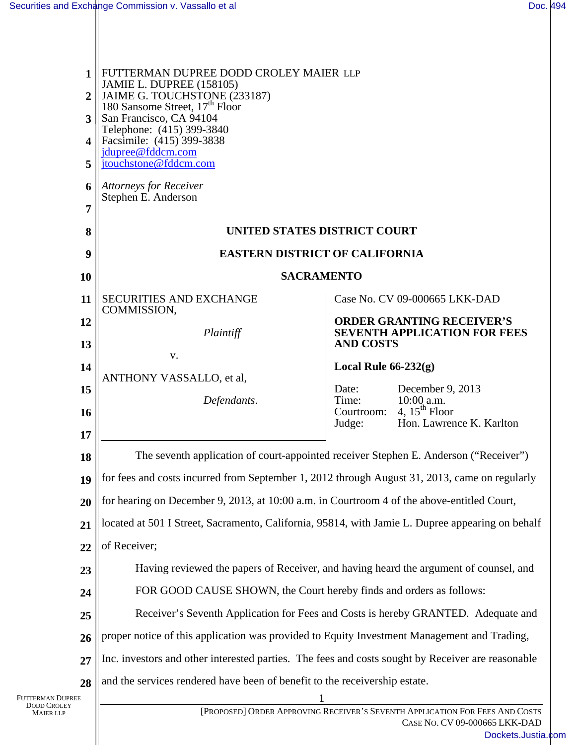| FUTTERMAN DUPREE DODD CROLEY MAIER LLP<br>1<br><b>JAMIE L. DUPREE (158105)</b><br>JAIME G. TOUCHSTONE (233187)<br>180 Sansome Street, $17^{\text{th}}$ Floor<br>$\overline{2}$<br>San Francisco, CA 94104<br>3<br>Telephone: (415) 399-3840<br>Facsimile: (415) 399-3838<br>4<br>jdupree@fddcm.com<br>jtouchstone@fddcm.com<br>5<br>Attorneys for Receiver<br>6<br>Stephen E. Anderson<br>7 |                                                                                           |
|---------------------------------------------------------------------------------------------------------------------------------------------------------------------------------------------------------------------------------------------------------------------------------------------------------------------------------------------------------------------------------------------|-------------------------------------------------------------------------------------------|
| UNITED STATES DISTRICT COURT<br>8                                                                                                                                                                                                                                                                                                                                                           |                                                                                           |
| <b>EASTERN DISTRICT OF CALIFORNIA</b><br>9                                                                                                                                                                                                                                                                                                                                                  |                                                                                           |
| <b>SACRAMENTO</b>                                                                                                                                                                                                                                                                                                                                                                           |                                                                                           |
| <b>SECURITIES AND EXCHANGE</b>                                                                                                                                                                                                                                                                                                                                                              | Case No. CV 09-000665 LKK-DAD                                                             |
|                                                                                                                                                                                                                                                                                                                                                                                             | <b>ORDER GRANTING RECEIVER'S</b><br><b>SEVENTH APPLICATION FOR FEES</b>                   |
|                                                                                                                                                                                                                                                                                                                                                                                             | <b>AND COSTS</b>                                                                          |
|                                                                                                                                                                                                                                                                                                                                                                                             | Local Rule $66-232(g)$                                                                    |
|                                                                                                                                                                                                                                                                                                                                                                                             | December 9, 2013<br>Date:<br>Time:<br>10:00 a.m.                                          |
|                                                                                                                                                                                                                                                                                                                                                                                             | 4, $15^{th}$ Floor<br>Courtroom:<br>Hon. Lawrence K. Karlton<br>Judge:                    |
|                                                                                                                                                                                                                                                                                                                                                                                             |                                                                                           |
| The seventh application of court-appointed receiver Stephen E. Anderson ("Receiver")<br>18                                                                                                                                                                                                                                                                                                  |                                                                                           |
| for fees and costs incurred from September 1, 2012 through August 31, 2013, came on regularly<br>19                                                                                                                                                                                                                                                                                         |                                                                                           |
| for hearing on December 9, 2013, at 10:00 a.m. in Courtroom 4 of the above-entitled Court,<br>20<br>located at 501 I Street, Sacramento, California, 95814, with Jamie L. Dupree appearing on behalf                                                                                                                                                                                        |                                                                                           |
| 21<br>22                                                                                                                                                                                                                                                                                                                                                                                    |                                                                                           |
| Having reviewed the papers of Receiver, and having heard the argument of counsel, and                                                                                                                                                                                                                                                                                                       |                                                                                           |
| 23<br>FOR GOOD CAUSE SHOWN, the Court hereby finds and orders as follows:<br>24                                                                                                                                                                                                                                                                                                             |                                                                                           |
| Receiver's Seventh Application for Fees and Costs is hereby GRANTED. Adequate and<br>25                                                                                                                                                                                                                                                                                                     |                                                                                           |
| proper notice of this application was provided to Equity Investment Management and Trading,                                                                                                                                                                                                                                                                                                 |                                                                                           |
| 26<br>Inc. investors and other interested parties. The fees and costs sought by Receiver are reasonable<br>27                                                                                                                                                                                                                                                                               |                                                                                           |
| and the services rendered have been of benefit to the receivership estate.                                                                                                                                                                                                                                                                                                                  |                                                                                           |
| Futterman Dupree<br><b>DODD CROLEY</b><br>[PROPOSED] ORDER APPROVING RECEIVER'S SEVENTH APPLICATION FOR FEES AND COSTS<br><b>MAIER LLP</b>                                                                                                                                                                                                                                                  |                                                                                           |
|                                                                                                                                                                                                                                                                                                                                                                                             | COMMISSION,<br>Plaintiff<br>V.<br>ANTHONY VASSALLO, et al,<br>Defendants.<br>of Receiver; |